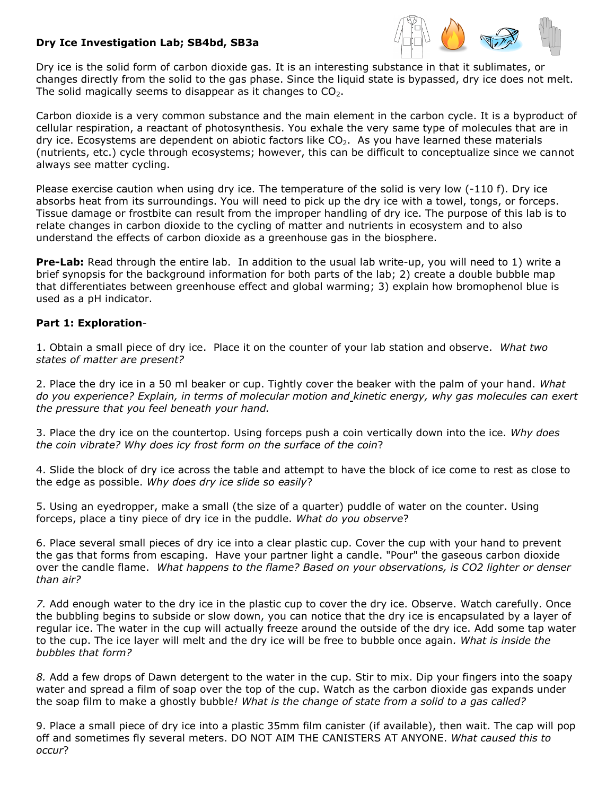## **Dry Ice Investigation Lab; SB4bd, SB3a**



Dry ice is the [solid](javascript:def() form of carbon dioxide gas. It is an interesting substance in that it sublimates, or changes directly from the [solid](javascript:def() to the [gas](javascript:def() phase. Since the [liquid](javascript:def() state is bypassed, dry ice does not melt. The [solid](javascript:def() magically seems to disappear as it changes to  $CO<sub>2</sub>$ .

Carbon dioxide is a very common substance and the main element in the carbon cycle. It is a byproduct of cellular respiration, a reactant of photosynthesis. You exhale the very same type of molecules that are in dry ice. Ecosystems are dependent on abiotic factors like  $CO<sub>2</sub>$ . As you have learned these materials (nutrients, etc.) cycle through ecosystems; however, this can be difficult to conceptualize since we cannot always see matter cycling.

Please exercise caution when using dry ice. The temperature of the [solid](javascript:def() is very low (-110 f). Dry ice absorbs [heat](javascript:def() from its surroundings. You will need to pick up the dry ice with a towel, tongs, or forceps. Tissue damage or frostbite can result from the improper handling of dry ice. The purpose of this lab is to relate changes in carbon dioxide to the cycling of matter and nutrients in ecosystem and to also understand the effects of carbon dioxide as a greenhouse gas in the biosphere.

**Pre-Lab:** Read through the entire lab. In addition to the usual lab write-up, you will need to 1) write a brief synopsis for the background information for both parts of the lab; 2) create a double bubble map that differentiates between greenhouse effect and global warming; 3) explain how bromophenol blue is used as a pH indicator.

## **Part 1: Exploration**-

1. Obtain a small piece of dry ice. Place it on the counter of your lab station and observe. *What two states of matter are present?*

2. Place the dry ice in a 50 ml beaker or cup. Tightly cover the beaker with the palm of your hand. *What do you experience? Explain, in terms of molecular motion and [kinetic energy,](javascript:def() why [gas](javascript:def() molecules can exert the [pressure](javascript:def() that you feel beneath your hand.*

3. Place the dry ice on the countertop. Using forceps push a coin vertically down into the ice. *Why does the coin vibrate? Why does icy frost form on the surface of the coin*?

4. Slide the block of dry ice across the table and attempt to have the block of ice come to rest as close to the edge as possible. *Why does dry ice slide so easily*?

5. Using an eyedropper, make a small (the size of a quarter) puddle of water on the counter. Using forceps, place a tiny piece of dry ice in the puddle. *What do you observe*?

6. Place several small pieces of dry ice into a clear plastic cup. Cover the cup with your hand to prevent the gas that forms from escaping. Have your partner light a candle. "Pour" the gaseous carbon dioxide over the candle flame. *What happens to the flame? Based on your observations, is CO2 lighter or denser than air?*

*7.* Add enough water to the dry ice in the plastic cup to cover the dry ice. Observe. Watch carefully. Once the bubbling begins to subside or slow down, you can notice that the dry ice is encapsulated by a layer of regular ice. The water in the cup will actually freeze around the outside of the dry ice. Add some tap water to the cup. The ice layer will melt and the dry ice will be free to bubble once again*. What is inside the bubbles that form?* 

*8.* Add a few drops of Dawn detergent to the water in the cup. Stir to mix. Dip your fingers into the soapy water and spread a film of soap over the top of the cup. Watch as the carbon dioxide gas expands under the soap film to make a ghostly bubble*! What is the change of state from a solid to a gas called?*

9. Place a small piece of dry ice into a plastic 35mm film canister (if available), then wait. The cap will pop off and sometimes fly several meters. DO NOT AIM THE CANISTERS AT ANYONE. *What caused this to occur*?